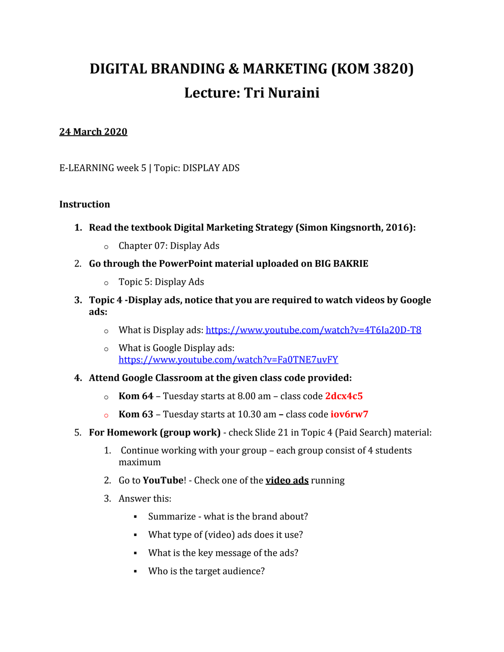## **DIGITAL BRANDING & MARKETING (KOM 3820) Lecture: Tri Nuraini**

## **24 March 2020**

E-LEARNING week 5 | Topic: DISPLAY ADS

## **Instruction**

- **1. Read the textbook Digital Marketing Strategy (Simon Kingsnorth, 2016):**
	- o Chapter 07: Display Ads
- 2. **Go through the PowerPoint material uploaded on BIG BAKRIE**
	- o Topic 5: Display Ads
- **3. Topic 4 -Display ads, notice that you are required to watch videos by Google ads:**
	- o What is Display ads:<https://www.youtube.com/watch?v=4T6Ia20D-T8>
	- o What is Google Display ads: <https://www.youtube.com/watch?v=Fa0TNE7uvFY>
- **4. Attend Google Classroom at the given class code provided:** 
	- o **Kom 64** Tuesday starts at 8.00 am class code **2dcx4c5**
	- o **Kom 63** Tuesday starts at 10.30 am **–** class code **iov6rw7**
- 5. **For Homework (group work)** check Slide 21 in Topic 4 (Paid Search) material:
	- 1. Continue working with your group each group consist of 4 students maximum
	- 2. Go to **YouTube**! Check one of the **video ads** running
	- 3. Answer this:
		- Summarize what is the brand about?
		- What type of (video) ads does it use?
		- What is the key message of the ads?
		- Who is the target audience?